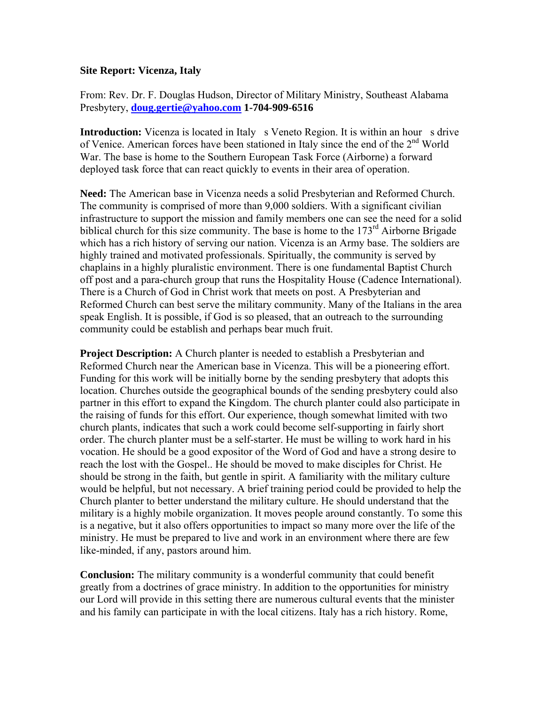## **Site Report: Vicenza, Italy**

From: Rev. Dr. F. Douglas Hudson, Director of Military Ministry, Southeast Alabama Presbytery, **[doug.gertie@yahoo.com](mailto:doug.gertie@yahoo.com) 1-704-909-6516**

**Introduction:** Vicenza is located in Italy s Veneto Region. It is within an hour s drive of Venice. American forces have been stationed in Italy since the end of the 2nd World War. The base is home to the Southern European Task Force (Airborne) a forward deployed task force that can react quickly to events in their area of operation.

**Need:** The American base in Vicenza needs a solid Presbyterian and Reformed Church. The community is comprised of more than 9,000 soldiers. With a significant civilian infrastructure to support the mission and family members one can see the need for a solid biblical church for this size community. The base is home to the  $173<sup>rd</sup>$  Airborne Brigade which has a rich history of serving our nation. Vicenza is an Army base. The soldiers are highly trained and motivated professionals. Spiritually, the community is served by chaplains in a highly pluralistic environment. There is one fundamental Baptist Church off post and a para-church group that runs the Hospitality House (Cadence International). There is a Church of God in Christ work that meets on post. A Presbyterian and Reformed Church can best serve the military community. Many of the Italians in the area speak English. It is possible, if God is so pleased, that an outreach to the surrounding community could be establish and perhaps bear much fruit.

**Project Description:** A Church planter is needed to establish a Presbyterian and Reformed Church near the American base in Vicenza. This will be a pioneering effort. Funding for this work will be initially borne by the sending presbytery that adopts this location. Churches outside the geographical bounds of the sending presbytery could also partner in this effort to expand the Kingdom. The church planter could also participate in the raising of funds for this effort. Our experience, though somewhat limited with two church plants, indicates that such a work could become self-supporting in fairly short order. The church planter must be a self-starter. He must be willing to work hard in his vocation. He should be a good expositor of the Word of God and have a strong desire to reach the lost with the Gospel.. He should be moved to make disciples for Christ. He should be strong in the faith, but gentle in spirit. A familiarity with the military culture would be helpful, but not necessary. A brief training period could be provided to help the Church planter to better understand the military culture. He should understand that the military is a highly mobile organization. It moves people around constantly. To some this is a negative, but it also offers opportunities to impact so many more over the life of the ministry. He must be prepared to live and work in an environment where there are few like-minded, if any, pastors around him.

**Conclusion:** The military community is a wonderful community that could benefit greatly from a doctrines of grace ministry. In addition to the opportunities for ministry our Lord will provide in this setting there are numerous cultural events that the minister and his family can participate in with the local citizens. Italy has a rich history. Rome,